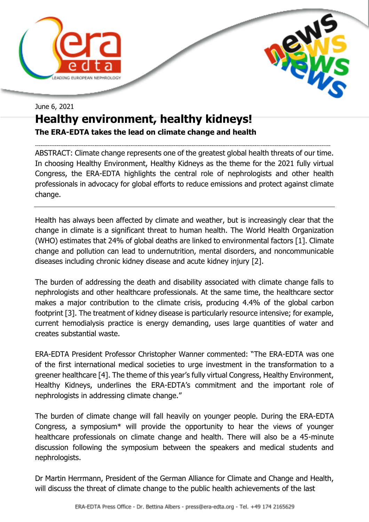



## June 6, 2021 **Healthy environment, healthy kidneys! The ERA-EDTA takes the lead on climate change and health**

-------------------------------------------------------------------------------------------------------------------------------------------------------------------- ABSTRACT: Climate change represents one of the greatest global health threats of our time. In choosing Healthy Environment, Healthy Kidneys as the theme for the 2021 fully virtual Congress, the ERA-EDTA highlights the central role of nephrologists and other health professionals in advocacy for global efforts to reduce emissions and protect against climate change.

Health has always been affected by climate and weather, but is increasingly clear that the change in climate is a significant threat to human health. The World Health Organization (WHO) estimates that 24% of global deaths are linked to environmental factors [1]. Climate change and pollution can lead to undernutrition, mental disorders, and noncommunicable diseases including chronic kidney disease and acute kidney injury [2].

The burden of addressing the death and disability associated with climate change falls to nephrologists and other healthcare professionals. At the same time, the healthcare sector makes a major contribution to the climate crisis, producing 4.4% of the global carbon footprint [3]. The treatment of kidney disease is particularly resource intensive; for example, current hemodialysis practice is energy demanding, uses large quantities of water and creates substantial waste.

ERA-EDTA President Professor Christopher Wanner commented: "The ERA-EDTA was one of the first international medical societies to urge investment in the transformation to a greener healthcare [4]. The theme of this year's fully virtual Congress, Healthy Environment, Healthy Kidneys, underlines the ERA-EDTA's commitment and the important role of nephrologists in addressing climate change."

The burden of climate change will fall heavily on younger people. During the ERA-EDTA Congress, a symposium\* will provide the opportunity to hear the views of younger healthcare professionals on climate change and health. There will also be a 45-minute discussion following the symposium between the speakers and medical students and nephrologists.

Dr Martin Herrmann, President of the German Alliance for Climate and Change and Health, will discuss the threat of climate change to the public health achievements of the last